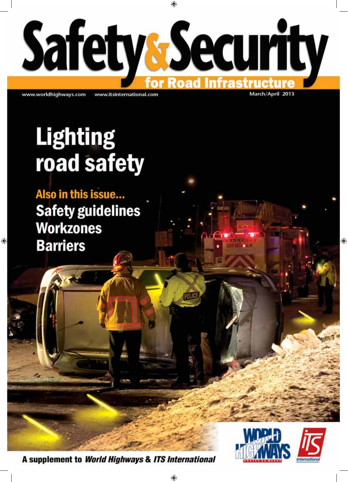

www.worldhighways.com

www.itsinternational.com

March/April 2013

# **Lighting** road safety

Also in this issue... **Safety guidelines Workzones Barriers** 

A supplement to World Highways & ITS International

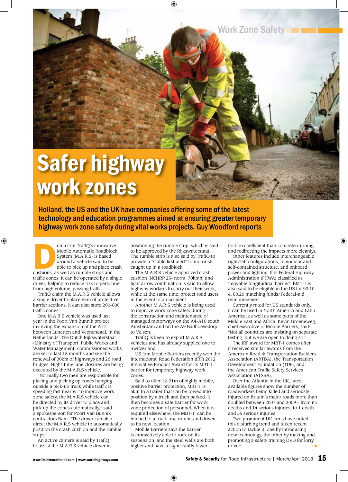Work Zone Safety

## Safer highway work zones

Holland, the US and the UK have companies offering some of the latest technology and education programmes aimed at ensuring greater temporary highway work zone safety during vital works projects. Guy Woodford reports

utch firm TrafIQ's innovative<br>
Mobile Automatic Roadblock<br>
System (M.A.R.S) is based<br>
around a vehicle said to be<br>
able to pick up and place cra<br>
cushions, as well as rumble strips and Mobile Automatic Roadblock System (M.A.R.S) is based around a vehicle said to be able to pick up and place crash traffic cones. It can be operated by a single driver, helping to reduce risk to personnel from high volume, passing traffic.

TrafIQ claim the M.A.R.S vehicle allows a single driver to place 6km of protective barrier sections. It can also store 200-600 traffic cones

One M.A.R.S vehicle was used last year in the Poort Van Bunnik project involving the expansion of the A12 between Lunetten and Veenendaal, in the Netherlands. The Dutch Rijkswaterstaat (Ministry of Transport, Public Works and Water Management) commissioned works are set to last 18 months and see the renewal of 30km of highways and 26 road bridges. Night-time lane closures are being executed by the M.A.R.S vehicle.

"Normally two men are responsible for placing and picking up cones hanging outside a pick-up truck while traffic is speeding fast nearby. To improve work zone safety, the M.A.R.S vehicle can be directed by its driver to place and pick up the cones automatically," said a spokesperson for Poort Van Bunnik contractors Bam. "The driver can also direct the M.A.R.S vehicle to automatically position the crash cushion and the rumble strips."

An active camera is said by TrafIQ to assist the M.A.R.S vehicle driver in positioning the rumble strip, which is said to be approved by the Rijkswaterstaat. The rumble strip is also said by TrafIQ to provide a "stable first alert" to motorists caught up in a roadblock.

The M.A.R.S vehicle approved crash cushion (NCHRP 25- norm, 70kmh) and light arrow combination is said to allow highway workers to carry out their work, while at the same time, protect road users in the event of an accident.

Another M.A.R.S vehicle is being used to improve work zone safety during the construction and maintenance of managed motorways on the A4-A10 south Amsterdam and on the A9 Badhoevedorp to Velsen.

TrafIQ is keen to export M.A.R.S vehicles and has already supplied one to Switzerland.

US firm Mobile Barriers recently won the International Road Federation (IRF) 2012 Innovative Product Award for its MBT-1 barrier for temporary highway work zones.

Said to offer 12-31m of highly mobile, positive barrier protection, MBT-1 is akin to a trailer that can be towed into position by a truck and then parked. It then becomes a safe barrier for work zone protection of personnel. When it is required elsewhere, the MBT-1 can be hitched to a truck tractor unit and driven to its new location.

Mobile Barriers says the barrier is innovatively able to rock on its suspension, and the steel walls are both higher and have a significantly lower

friction coefficient than concrete (turning and redirecting the impacts more cleanly).

Other features include interchangeable right/left configurations, a modular and self-contained structure, and onboard power and lighting. It is Federal Highway Administration (FHWA) classified as 'movable longitudinal barrier'. BMT-1 is also said to be eligible in the US for 90:10 & 80:20 matching funds/Federal-aid reimbursement.

Currently rated for US standards only, it can be used in North America and Latin America, as well as some parts of the Middle East and Africa. Kevin Groeneweg, chief executive of Mobile Barriers, said: "Not all countries are insisting on separate testing, but we are open to doing so."

The IRF award for MBT-1 comes after it received similar awards from the American Road & Transportation Builders Association (ARTBA), the Transportation Development Foundation (TDF), and the American Traffic Safety Services Association (ATSSA).

Over the Atlantic in the UK, latest available figures show the number of roadworkers being killed and seriously injured on Britain's major roads more than doubled between 2007 and 2009 – from no deaths and 14 serious injuries, to 1 death and 35 serious injuries.

Two prominent UK firms have noted this disturbing trend and taken recent action to tackle it, one by introducing new technology, the other by making and promoting a safety training DVD for lorry drivers.  $\rightarrow$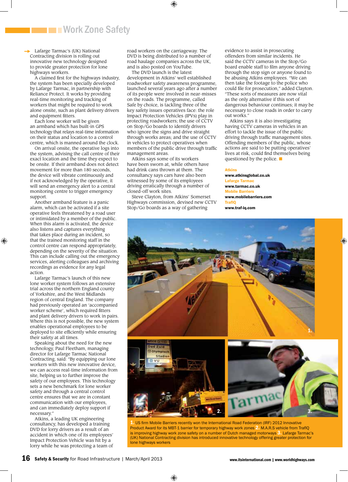### **THE EXTREM** IN Work Zone Safety

Lafarge Tarmac's (UK) National Contracting division is rolling out innovative new technology designed to provide greater protection for lone highways workers.  $\rightarrow$ 

A claimed first for the highways industry, the system has been specially developed by Lafarge Tarmac, in partnership with Reliance Protect. It works by providing real-time monitoring and tracking of workers that might be required to work alone onsite, such as plant delivery drivers and equipment fitters.

Each lone worker will be given an armband which has built-in GPS technology that relays real-time information on their status and location to a control centre, which is manned around the clock.

On arrival onsite, the operative logs into the system, advising the call centre of their exact location and the time they expect to be onsite. If their armband does not detect movement for more than 180 seconds the device will vibrate continuously and if not acknowledged by the operative, it will send an emergency alert to a central monitoring centre to trigger emergency support.

Another armband feature is a panic alarm, which can be activated if a site operative feels threatened by a road user or intimidated by a member of the public. When this alarm is activated, the device also listens and captures everything that takes place during an incident, so that the trained monitoring staff in the control centre can respond appropriately, depending on the severity of the situation. This can include calling out the emergency services, alerting colleagues and archiving recordings as evidence for any legal action.

Lafarge Tarmac's launch of this new lone worker system follows an extensive trial across the northern England county of Yorkshire, and the West Midlands region of central England. The company had previously operated an 'accompanied worker scheme', which required fitters and plant delivery drivers to work in pairs. Where this is not possible, the new system enables operational employees to be deployed to site efficiently while ensuring their safety at all times.

Speaking about the need for the new technology, Paul Fleetham, managing director for Lafarge Tarmac National Contracting, said: "By equipping our lone workers with this new innovative device, we can access real-time information from site, helping us to further improve the safety of our employees. This technology sets a new benchmark for lone worker safety and through a central control centre ensures that we are in constant communication with our employees, and can immediately deploy support if necessary."

Atkins, a leading UK engineering consultancy, has developed a training DVD for lorry drivers as a result of an accident in which one of its employees' Impact Protection Vehicle was hit by a lorry while he was protecting a team of road workers on the carriageway. The DVD is being distributed to a number of road haulage companies across the UK, and is also posted on YouTube.

The DVD launch is the latest development in Atkins' well established roadworker safety awareness programme, launched several years ago after a number of its people were involved in near-misses on the roads. The programme, called Safe by choice, is tackling three of the key safety issues operatives face: the role Impact Protection Vehicles (IPVs) play in protecting roadworkers; the use of CCTV on Stop/Go boards to identify drivers who ignore the signs and drive straight through works areas; and the use of CCTV in vehicles to protect operatives when members of the public drive through traffic management areas.

Atkins says some of its workers have been sworn at, while others have had drink cans thrown at them. The consultancy says cars have also been witnessed by some of its employees driving erratically through a number of closed-off work sites.

Steve Clayton, from Atkins' Somerset Highways commission, devised new CCTV Stop/Go boards as a way of gathering

evidence to assist in prosecuting offenders from similar incidents. He said the CCTV cameras in the Stop/Go board enable staff to film anyone driving through the stop sign or anyone found to be abusing Atkins employees. "We can then take the footage to the police who could file for prosecution," added Clayton. "These sorts of measures are now vital as the only alternative if this sort of dangerous behaviour continues; it may be necessary to close roads in order to carry out works."

Atkins says it is also investigating having CCTV cameras in vehicles in an effort to tackle the issue of the public driving through traffic management sites. Offending members of the public, whose actions are said to be putting operatives' lives at risk, could find themselves being questioned by the police. ■

#### Atkins

[www.atkinsglobal.co.uk](http://www.atkinsglobal.co.uk) Lafarge Tarmac [www.tarmac.co.uk](http://www.tarmac.co.uk) Mobile Barriers [www.mobilebarriers.com](http://www.mobilebarriers.com) TrafIQ [www.traf-iq.com](http://www.traf-iq.com)



1. US firm Mobile Barriers recently won the International Road Federation (IRF) 2012 Innovative Product Award for its MBT-1 barrier for temporary highway work zones 2. M.A.R.S vehicle from TrafIQ is improving highway work zone safety on a number of Dutch managed motorways 3. Lafarge Tarmac's (UK) National Contracting division has introduced innovative technology offering greater protection for lone highways workers